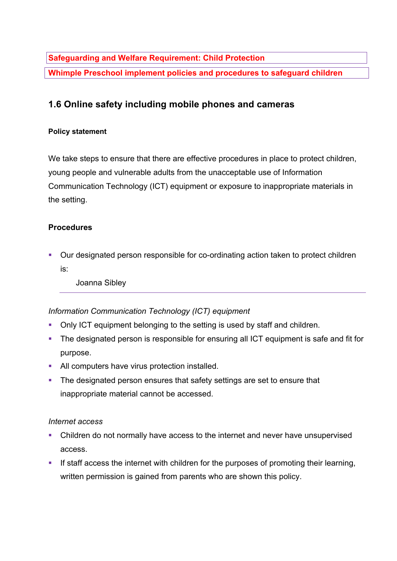**Safeguarding and Welfare Requirement: Child Protection**

**Whimple Preschool implement policies and procedures to safeguard children**

# **1.6 Online safety including mobile phones and cameras**

#### **Policy statement**

We take steps to ensure that there are effective procedures in place to protect children, young people and vulnerable adults from the unacceptable use of Information Communication Technology (ICT) equipment or exposure to inappropriate materials in the setting.

### **Procedures**

■ Our designated person responsible for co-ordinating action taken to protect children is:

Joanna Sibley

### *Information Communication Technology (ICT) equipment*

- Only ICT equipment belonging to the setting is used by staff and children.
- The designated person is responsible for ensuring all ICT equipment is safe and fit for purpose.
- All computers have virus protection installed.
- The designated person ensures that safety settings are set to ensure that inappropriate material cannot be accessed.

### *Internet access*

- Children do not normally have access to the internet and never have unsupervised access.
- If staff access the internet with children for the purposes of promoting their learning, written permission is gained from parents who are shown this policy.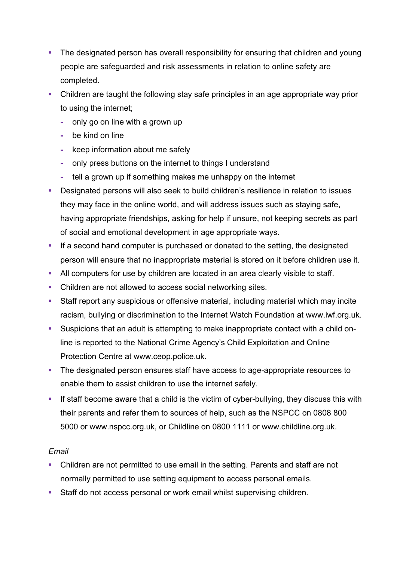- The designated person has overall responsibility for ensuring that children and young people are safeguarded and risk assessments in relation to online safety are completed.
- Children are taught the following stay safe principles in an age appropriate way prior to using the internet;
	- **-** only go on line with a grown up
	- **-** be kind on line
	- **-** keep information about me safely
	- **-** only press buttons on the internet to things I understand
	- **-** tell a grown up if something makes me unhappy on the internet
- Designated persons will also seek to build children's resilience in relation to issues they may face in the online world, and will address issues such as staying safe, having appropriate friendships, asking for help if unsure, not keeping secrets as part of social and emotional development in age appropriate ways.
- **•** If a second hand computer is purchased or donated to the setting, the designated person will ensure that no inappropriate material is stored on it before children use it.
- **All computers for use by children are located in an area clearly visible to staff.**
- Children are not allowed to access social networking sites.
- Staff report any suspicious or offensive material, including material which may incite racism, bullying or discrimination to the Internet Watch Foundation at www.iwf.org.uk.
- Suspicions that an adult is attempting to make inappropriate contact with a child online is reported to the National Crime Agency's Child Exploitation and Online Protection Centre at www.ceop.police.uk**.**
- The designated person ensures staff have access to age-appropriate resources to enable them to assist children to use the internet safely.
- If staff become aware that a child is the victim of cyber-bullying, they discuss this with their parents and refer them to sources of help, such as the NSPCC on 0808 800 5000 or www.nspcc.org.uk, or Childline on 0800 1111 or www.childline.org.uk.

### *Email*

- Children are not permitted to use email in the setting. Parents and staff are not normally permitted to use setting equipment to access personal emails.
- Staff do not access personal or work email whilst supervising children.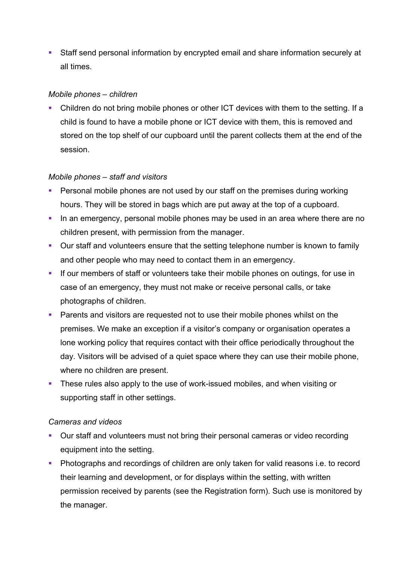■ Staff send personal information by encrypted email and share information securely at all times.

#### *Mobile phones – children*

• Children do not bring mobile phones or other ICT devices with them to the setting. If a child is found to have a mobile phone or ICT device with them, this is removed and stored on the top shelf of our cupboard until the parent collects them at the end of the session.

### *Mobile phones – staff and visitors*

- Personal mobile phones are not used by our staff on the premises during working hours. They will be stored in bags which are put away at the top of a cupboard.
- In an emergency, personal mobile phones may be used in an area where there are no children present, with permission from the manager.
- Our staff and volunteers ensure that the setting telephone number is known to family and other people who may need to contact them in an emergency.
- **•** If our members of staff or volunteers take their mobile phones on outings, for use in case of an emergency, they must not make or receive personal calls, or take photographs of children.
- **•** Parents and visitors are requested not to use their mobile phones whilst on the premises. We make an exception if a visitor's company or organisation operates a lone working policy that requires contact with their office periodically throughout the day. Visitors will be advised of a quiet space where they can use their mobile phone, where no children are present.
- These rules also apply to the use of work-issued mobiles, and when visiting or supporting staff in other settings.

### *Cameras and videos*

- Our staff and volunteers must not bring their personal cameras or video recording equipment into the setting.
- § Photographs and recordings of children are only taken for valid reasons i.e. to record their learning and development, or for displays within the setting, with written permission received by parents (see the Registration form). Such use is monitored by the manager.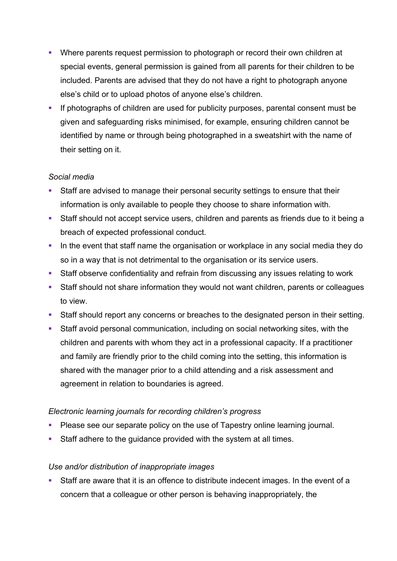- Where parents request permission to photograph or record their own children at special events, general permission is gained from all parents for their children to be included. Parents are advised that they do not have a right to photograph anyone else's child or to upload photos of anyone else's children.
- If photographs of children are used for publicity purposes, parental consent must be given and safeguarding risks minimised, for example, ensuring children cannot be identified by name or through being photographed in a sweatshirt with the name of their setting on it.

### *Social media*

- Staff are advised to manage their personal security settings to ensure that their information is only available to people they choose to share information with.
- Staff should not accept service users, children and parents as friends due to it being a breach of expected professional conduct.
- In the event that staff name the organisation or workplace in any social media they do so in a way that is not detrimental to the organisation or its service users.
- Staff observe confidentiality and refrain from discussing any issues relating to work
- Staff should not share information they would not want children, parents or colleagues to view.
- Staff should report any concerns or breaches to the designated person in their setting.
- Staff avoid personal communication, including on social networking sites, with the children and parents with whom they act in a professional capacity. If a practitioner and family are friendly prior to the child coming into the setting, this information is shared with the manager prior to a child attending and a risk assessment and agreement in relation to boundaries is agreed.

## *Electronic learning journals for recording children's progress*

- Please see our separate policy on the use of Tapestry online learning journal.
- Staff adhere to the guidance provided with the system at all times.

### *Use and/or distribution of inappropriate images*

• Staff are aware that it is an offence to distribute indecent images. In the event of a concern that a colleague or other person is behaving inappropriately, the